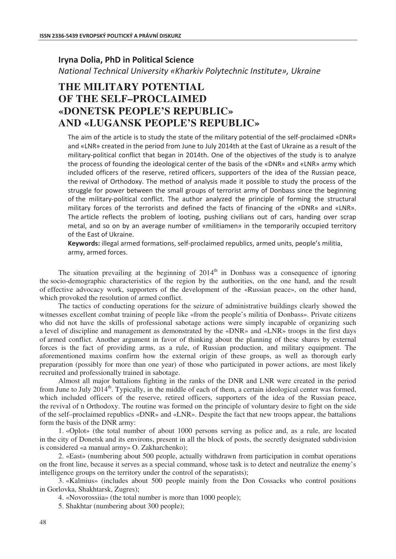## **Iryna Dolia, PhD in Political Science**

*National Technical University «Kharkiv Polytechnic Institute», Ukraine* 

## **THE MILITARY POTENTIAL OF THE SELF–PROCLAIMED «DONETSK PEOPLE'S REPUBLIC» AND «LUGANSK PEOPLE'S REPUBLIC»**

The aim of the article is to study the state of the military potential of the self-proclaimed «DNR» and «LNR» created in the period from June to July 2014th at the East of Ukraine as a result of the military-political conflict that began in 2014th. One of the objectives of the study is to analyze the process of founding the ideological center of the basis of the «DNR» and «LNR» army which included officers of the reserve, retired officers, supporters of the idea of the Russian peace, the revival of Orthodoxy. The method of analysis made it possible to study the process of the struggle for power between the small groups of terrorist army of Donbass since the beginning of the military-political conflict. The author analyzed the principle of forming the structural military forces of the terrorists and defined the facts of financing of the «DNR» and «LNR». The article reflects the problem of looting, pushing civilians out of cars, handing over scrap metal, and so on by an average number of «militiamen» in the temporarily occupied territory of the East of Ukraine.

Keywords: illegal armed formations, self-proclaimed republics, armed units, people's militia, army, armed forces.

The situation prevailing at the beginning of  $2014<sup>th</sup>$  in Donbass was a consequence of ignoring the socio-demographic characteristics of the region by the authorities, on the one hand, and the result of effective advocacy work, supporters of the development of the «Russian peace», on the other hand, which provoked the resolution of armed conflict.

The tactics of conducting operations for the seizure of administrative buildings clearly showed the witnesses excellent combat training of people like «from the people's militia of Donbass». Private citizens who did not have the skills of professional sabotage actions were simply incapable of organizing such a level of discipline and management as demonstrated by the «DNR» and «LNR» troops in the first days of armed conflict. Another argument in favor of thinking about the planning of these shares by external forces is the fact of providing arms, as a rule, of Russian production, and military equipment. The aforementioned maxims confirm how the external origin of these groups, as well as thorough early preparation (possibly for more than one year) of those who participated in power actions, are most likely recruited and professionally trained in sabotage.

Almost all major battalions fighting in the ranks of the DNR and LNR were created in the period from June to July 2014<sup>th</sup>. Typically, in the middle of each of them, a certain ideological center was formed, which included officers of the reserve, retired officers, supporters of the idea of the Russian peace, the revival of n Orthodoxy. The routine was formed on the principle of voluntary desire to fight on the side of the self–proclaimed republics «DNR» and «LNR». Despite the fact that new troops appear, the battalions form the basis of the DNR army:

1. «Oplot» (the total number of about 1000 persons serving as police and, as a rule, are located in the city of Donetsk and its environs, present in all the block of posts, the secretly designated subdivision is considered «a manual army» O. Zakharchenko);

2. «East» (numbering about 500 people, actually withdrawn from participation in combat operations on the front line, because it serves as a special command, whose task is to detect and neutralize the enemy's intelligence groups on the territory under the control of the separatists);

3. «Kalmius» (includes about 500 people mainly from the Don Cossacks who control positions in Gorlovka, Shakhtarsk, Zugres);

4. «Novorossiia» (the total number is more than 1000 people);

5. Shakhtar (numbering about 300 people);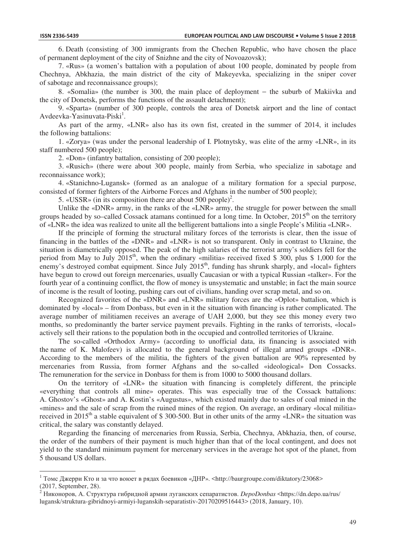$\overline{a}$ 

6. Death (consisting of 300 immigrants from the Chechen Republic, who have chosen the place of permanent deployment of the city of Snizhne and the city of Novoazovsk);

7. «Rus» (a women's battalion with a population of about 100 people, dominated by people from Chechnya, Abkhazia, the main district of the city of Makeyevka, specializing in the sniper cover of sabotage and reconnaissance groups);

8. «Somalia» (the number is 300, the main place of deployment − the suburb of Makiivka and the city of Donetsk, performs the functions of the assault detachment);

9. «Sparta» (number of 300 people, controls the area of Donetsk airport and the line of contact  $A$ vdeevka-Yasinuvata-Piski<sup>1</sup>.

As part of the army, «LNR» also has its own fist, created in the summer of 2014, it includes the following battalions:

1. «Zorya» (was under the personal leadership of I. Plotnytsky, was elite of the army «LNR», in its staff numbered 500 people);

2. «Don» (infantry battalion, consisting of 200 people);

3. «Rusich» (there were about 300 people, mainly from Serbia, who specialize in sabotage and reconnaissance work);

4. «Stanichno-Lugansk» (formed as an analogue of a military formation for a special purpose, consisted of former fighters of the Airborne Forces and Afghans in the number of 500 people);

5. «USSR» (in its composition there are about 500 people)<sup>2</sup>.

Unlike the «DNR» army, in the ranks of the «LNR» army, the struggle for power between the small groups headed by so–called Cossack atamans continued for a long time. In October,  $2015<sup>th</sup>$  on the territory of «LNR» the idea was realized to unite all the belligerent battalions into a single People's Militia «LNR».

If the principle of forming the structural military forces of the terrorists is clear, then the issue of financing in the battles of the «DNR» and «LNR» is not so transparent. Only in contrast to Ukraine, the situation is diametrically opposed. The peak of the high salaries of the terrorist army's soldiers fell for the period from May to July  $2015<sup>th</sup>$ , when the ordinary «militia» received fixed \$ 300, plus \$ 1,000 for the enemy's destroyed combat equipment. Since July  $2015<sup>th</sup>$ , funding has shrunk sharply, and «local» fighters have begun to crowd out foreign mercenaries, usually Caucasian or with a typical Russian «talker». For the fourth year of a continuing conflict, the flow of money is unsystematic and unstable; in fact the main source of income is the result of looting, pushing cars out of civilians, handing over scrap metal, and so on.

Recognized favorites of the «DNR» and «LNR» military forces are the «Oplot» battalion, which is dominated by «local» – from Donbass, but even in it the situation with financing is rather complicated. The average number of militiamen receives an average of UAH 2,000, but they see this money every two months, so predominantly the barter service payment prevails. Fighting in the ranks of terrorists, «local» actively sell their rations to the population both in the occupied and controlled territories of Ukraine.

The so-called «Orthodox Army» (according to unofficial data, its financing is associated with the name of K. Malofeev) is allocated to the general background of illegal armed groups «DNR». According to the members of the militia, the fighters of the given battalion are 90% represented by mercenaries from Russia, from former Afghans and the so-called «ideological» Don Cossacks. The remuneration for the service in Donbass for them is from 1000 to 5000 thousand dollars.

On the territory of «LNR» the situation with financing is completely different, the principle «everything that controls all mine» operates. This was especially true of the Cossack battalions: A. Ghostov's «Ghost» and A. Kostin's «Augustus», which existed mainly due to sales of coal mined in the «mines» and the sale of scrap from the ruined mines of the region. On average, an ordinary «local militia» received in 2015<sup>th</sup> a stable equivalent of \$ 300-500. But in other units of the army «LNR» the situation was critical, the salary was constantly delayed.

Regarding the financing of mercenaries from Russia, Serbia, Chechnya, Abkhazia, then, of course, the order of the numbers of their payment is much higher than that of the local contingent, and does not yield to the standard minimum payment for mercenary services in the average hot spot of the planet, from 5 thousand US dollars.

 $^1$  Томс Джерри Кто и за что воюет в рядах боевиков «ДНР». <http://baurgroupe.com/diktatory/23068> (2017, September, 28).

<sup>&</sup>lt;sup>2</sup> Никоноров, А. Структура гибридной армии луганских сепаратистов. *DepoDonbas* <https://dn.depo.ua/rus/ lugansk/struktura-gibridnoyi-armiyi-luganskih-separatistiv-20170209516443> (2018, January, 10).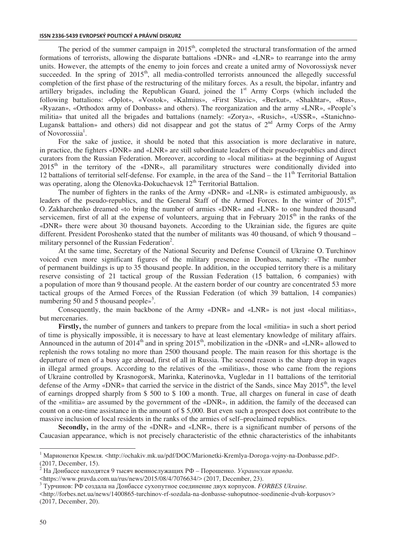## **ISSN 2336-5439 EVROPSKÝ POLITICKÝ A PRÁVNÍ DISKURZ**

The period of the summer campaign in  $2015<sup>th</sup>$ , completed the structural transformation of the armed formations of terrorists, allowing the disparate battalions «DNR» and «LNR» to rearrange into the army units. However, the attempts of the enemy to join forces and create a united army of Novorossiysk never succeeded. In the spring of 2015<sup>th</sup>, all media-controlled terrorists announced the allegedly successful completion of the first phase of the restructuring of the military forces. As a result, the bipolar, infantry and artillery brigades, including the Republican Guard, joined the  $1<sup>st</sup>$  Army Corps (which included the following battalions: «Oplot», «Vostok», «Kalmius», «First Slavic», «Berkut», «Shakhtar», «Rus», «Ryazan», «Orthodox army of Donbass» and others). The reorganization and the army «LNR», «People's militia» that united all the brigades and battalions (namely: «Zorya», «Rusich», «USSR», «Stanichno-Lugansk battalion» and others) did not disappear and got the status of  $2<sup>nd</sup>$  Army Corps of the Army of Novorossiia<sup>1</sup>.

For the sake of justice, it should be noted that this association is more declarative in nature, in practice, the fighters «DNR» and «LNR» are still subordinate leaders of their pseudo-republics and direct curators from the Russian Federation. Moreover, according to «local militias» at the beginning of August  $2015<sup>th</sup>$  in the territory of the «DNR», all paramilitary structures were conditionally divided into 12 battalions of territorial self-defense. For example, in the area of the Sand – the  $11<sup>th</sup>$  Territorial Battalion was operating, along the Olenovka-Dokuchaevsk  $12<sup>th</sup>$  Territorial Battalion.

The number of fighters in the ranks of the Army «DNR» and «LNR» is estimated ambiguously, as leaders of the pseudo-republics, and the General Staff of the Armed Forces. In the winter of 2015<sup>th</sup>, O. Zakharchenko dreamed «to bring the number of armies «DNR» and «LNR» to one hundred thousand servicemen, first of all at the expense of volunteers, arguing that in February  $2015<sup>th</sup>$  in the ranks of the «DNR» there were about 30 thousand bayonets. According to the Ukrainian side, the figures are quite different. President Poroshenko stated that the number of militants was 40 thousand, of which 9 thousand – military personnel of the Russian Federation<sup>2</sup>.

At the same time, Secretary of the National Security and Defense Council of Ukraine O. Turchinov voiced even more significant figures of the military presence in Donbass, namely: «The number of permanent buildings is up to 35 thousand people. In addition, in the occupied territory there is a military reserve consisting of 21 tactical group of the Russian Federation (15 battalion, 6 companies) with a population of more than 9 thousand people. At the eastern border of our country are concentrated 53 more tactical groups of the Armed Forces of the Russian Federation (of which 39 battalion, 14 companies) numbering  $50$  and 5 thousand people»<sup>3</sup>.

Consequently, the main backbone of the Army «DNR» and «LNR» is not just «local militias», but mercenaries.

**Firstly,** the number of gunners and tankers to prepare from the local «militia» in such a short period of time is physically impossible, it is necessary to have at least elementary knowledge of military affairs. Announced in the autumn of  $2014<sup>th</sup>$  and in spring  $2015<sup>th</sup>$ , mobilization in the «DNR» and «LNR» allowed to replenish the rows totaling no more than 2500 thousand people. The main reason for this shortage is the departure of men of a busy age abroad, first of all in Russia. The second reason is the sharp drop in wages in illegal armed groups. According to the relatives of the «militias», those who came from the regions of Ukraine controlled by Krasnogorsk, Marinka, Katerinovka, Vugledar in 11 battalions of the territorial defense of the Army «DNR» that carried the service in the district of the Sands, since May 2015<sup>th</sup>, the level of earnings dropped sharply from \$ 500 to \$ 100 a month. True, all charges on funeral in case of death of the «militia» are assumed by the government of the «DNR», in addition, the family of the deceased can count on a one-time assistance in the amount of \$ 5,000. But even such a prospect does not contribute to the massive inclusion of local residents in the ranks of the armies of self–proclaimed republics.

**Secondly,** in the army of the «DNR» and «LNR», there is a significant number of persons of the Caucasian appearance, which is not precisely characteristic of the ethnic characteristics of the inhabitants

 $\overline{a}$ 

<sup>&</sup>lt;sup>1</sup> Марионетки Кремля. <http://ochakiv.mk.ua/pdf/DOC/Marionetki-Kremlya-Doroga-vojny-na-Donbasse.pdf>. (2017, December, 15).

На Донбассе находятся 9 тысяч военнослужащих РФ – Порошенко. Украинская правда.

<sup>&</sup>lt;https://www.pravda.com.ua/rus/news/2015/08/4/7076634/> (2017, December, 23).<br><sup>3</sup> Турчинов: РФ создала на Донбассе сухопутное соединение двух корпусов. *FORBES Ukraine*.

 $\text{Khttp://forbes.net.ua/news/1400865-turchinov-rf-sozdala-na-donbasse-suboputnoe-soedinenie-dvuh-korpusov>$ (2017, December, 20).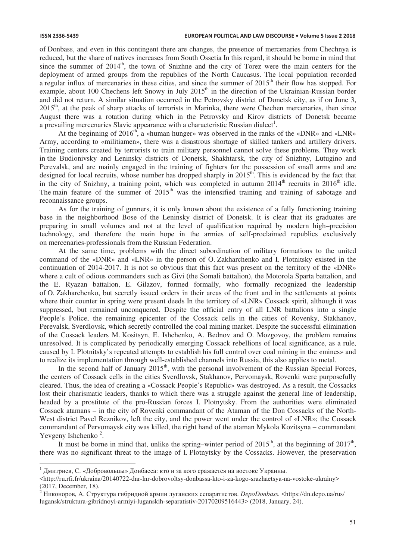$\overline{a}$ 

of Donbass, and even in this contingent there are changes, the presence of mercenaries from Chechnya is reduced, but the share of natives increases from South Ossetia In this regard, it should be borne in mind that since the summer of  $2014<sup>th</sup>$ , the town of Snizhne and the city of Torez were the main centers for the deployment of armed groups from the republics of the North Caucasus. The local population recorded a regular influx of mercenaries in these cities, and since the summer of 2015<sup>th</sup> their flow has stopped. For example, about 100 Chechens left Snowy in July 2015<sup>th</sup> in the direction of the Ukrainian-Russian border and did not return. A similar situation occurred in the Petrovsky district of Donetsk city, as if on June 3,  $2015<sup>th</sup>$ , at the peak of sharp attacks of terrorists in Marinka, there were Chechen mercenaries, then since August there was a rotation during which in the Petrovsky and Kirov districts of Donetsk became a prevailing mercenaries Slavic appearance with a characteristic Russian dialect<sup>1</sup>.

At the beginning of 2016<sup>th</sup>, a «human hunger» was observed in the ranks of the «DNR» and «LNR» Army, according to «militiamen», there was a disastrous shortage of skilled tankers and artillery drivers. Training centers created by terrorists to train military personnel cannot solve these problems. They work in the Budionivsky and Leninsky districts of Donetsk, Shakhtarsk, the city of Snizhny, Lutugino and Perevalsk, and are mainly engaged in the training of fighters for the possession of small arms and are designed for local recruits, whose number has dropped sharply in 2015<sup>th</sup>. This is evidenced by the fact that designed for local recruits, whose number has dropped sharply in 2015<sup>th</sup>. This is evidenced by the fact that in the city of Snizhny, a training point, which was completed in autumn  $2014<sup>th</sup>$  recruits in  $2016<sup>th</sup>$  idle. The main feature of the summer of  $2015<sup>th</sup>$  was the intensified training and training of sabotage and reconnaissance groups.

As for the training of gunners, it is only known about the existence of a fully functioning training base in the neighborhood Bose of the Leninsky district of Donetsk. It is clear that its graduates are preparing in small volumes and not at the level of qualification required by modern high–precision technology, and therefore the main hope in the armies of self-proclaimed republics exclusively on mercenaries-professionals from the Russian Federation.

At the same time, problems with the direct subordination of military formations to the united command of the «DNR» and «LNR» in the person of O. Zakharchenko and I. Plotnitsky existed in the continuation of 2014-2017. It is not so obvious that this fact was present on the territory of the «DNR» where a cult of odious commanders such as Givi (the Somali battalion), the Motorola Sparta battalion, and the E. Ryazan battalion, E. Gilazov, formed formally, who formally recognized the leadership of O. Zakharchenko, but secretly issued orders in their areas of the front and in the settlements at points where their counter in spring were present deeds In the territory of «LNR» Cossack spirit, although it was suppressed, but remained unconquered. Despite the official entry of all LNR battalions into a single People's Police, the remaining epicenter of the Cossack cells in the cities of Rovenky, Stakhanov, Perevalsk, Sverdlovsk, which secretly controlled the coal mining market. Despite the successful elimination of the Cossack leaders M. Kositsyn, E. Ishchenko, A. Bednov and O. Mozgovoy, the problem remains unresolved. It is complicated by periodically emerging Cossack rebellions of local significance, as a rule, caused by I. Plotnitsky's repeated attempts to establish his full control over coal mining in the «mines» and to realize its implementation through well-established channels into Russia, this also applies to metal.

In the second half of January  $2015<sup>th</sup>$ , with the personal involvement of the Russian Special Forces, the centers of Cossack cells in the cities Sverdlovsk, Stakhanov, Pervomaysk, Rovenki were purposefully cleared. Thus, the idea of creating a «Cossack People's Republic» was destroyed. As a result, the Cossacks lost their charismatic leaders, thanks to which there was a struggle against the general line of leadership, headed by a prostitute of the pro-Russian forces I. Plotnytsky. From the authorities were eliminated Cossack atamans – in the city of Rovenki commandant of the Ataman of the Don Cossacks of the North-West district Pavel Reznikov, left the city, and the power went under the control of «LNR»; the Cossack commandant of Pervomaysk city was killed, the right hand of the ataman Mykola Kozitsyna – commandant Yevgeny Ishchenko<sup>2</sup>.

It must be borne in mind that, unlike the spring–winter period of  $2015<sup>th</sup>$ , at the beginning of  $2017<sup>th</sup>$ , there was no significant threat to the image of I. Plotnytsky by the Cossacks. However, the preservation

 $^1$  Дмитриев, С. «Добровольцы» Донбасса: кто и за кого сражается на востоке Украины.

<sup>&</sup>lt;http://ru.rfi.fr/ukraina/20140722-dnr-lnr-dobrovoltsy-donbassa-kto-i-za-kogo-srazhaetsya-na-vostoke-ukrainy> (2017, December, 18).

<sup>&</sup>lt;sup>2</sup> Никоноров, А. Структура гибридной армии луганских сепаратистов. *DepoDonbass*. <https://dn.depo.ua/rus/ lugansk/struktura-gibridnoyi-armiyi-luganskih-separatistiv-20170209516443> (2018, January, 24).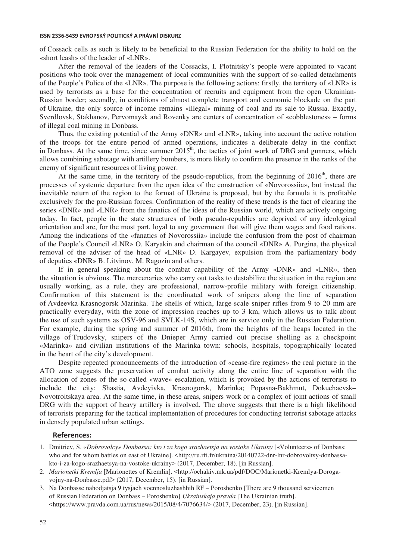of Cossack cells as such is likely to be beneficial to the Russian Federation for the ability to hold on the «short leash» of the leader of «LNR».

After the removal of the leaders of the Cossacks, I. Plotnitsky's people were appointed to vacant positions who took over the management of local communities with the support of so-called detachments of the People's Police of the «LNR». The purpose is the following actions: firstly, the territory of «LNR» is used by terrorists as a base for the concentration of recruits and equipment from the open Ukrainian-Russian border; secondly, in conditions of almost complete transport and economic blockade on the part of Ukraine, the only source of income remains «illegal» mining of coal and its sale to Russia. Exactly, Sverdlovsk, Stakhanov, Pervomaysk and Rovenky are centers of concentration of «cobblestones» – forms of illegal coal mining in Donbass.

Thus, the existing potential of the Army «DNR» and «LNR», taking into account the active rotation of the troops for the entire period of armed operations, indicates a deliberate delay in the conflict in Donbass. At the same time, since summer  $2015<sup>th</sup>$ , the tactics of joint work of DRG and gunners, which allows combining sabotage with artillery bombers, is more likely to confirm the presence in the ranks of the enemy of significant resources of living power.

At the same time, in the territory of the pseudo-republics, from the beginning of  $2016<sup>th</sup>$ , there are processes of systemic departure from the open idea of the construction of «Novorossiia», but instead the inevitable return of the region to the format of Ukraine is proposed, but by the formula it is profitable exclusively for the pro-Russian forces. Confirmation of the reality of these trends is the fact of clearing the series «DNR» and «LNR» from the fanatics of the ideas of the Russian world, which are actively ongoing today. In fact, people in the state structures of both pseudo-republics are deprived of any ideological orientation and are, for the most part, loyal to any government that will give them wages and food rations. Among the indications of the «fanatics of Novorossiia» include the confusion from the post of chairman of the People's Council «LNR» O. Karyakin and chairman of the council «DNR» A. Purgina, the physical removal of the adviser of the head of «LNR» D. Kargayev, expulsion from the parliamentary body of deputies «DNR» B. Litvinov, M. Ragozin and others.

If in general speaking about the combat capability of the Army «DNR» and «LNR», then the situation is obvious. The mercenaries who carry out tasks to destabilize the situation in the region are usually working, as a rule, they are professional, narrow-profile military with foreign citizenship. Confirmation of this statement is the coordinated work of snipers along the line of separation of Avdeevka-Krasnogorsk-Marinka. The shells of which, large-scale sniper rifles from 9 to 20 mm are practically everyday, with the zone of impression reaches up to 3 km, which allows us to talk about the use of such systems as OSV-96 and SVLK-14S, which are in service only in the Russian Federation. For example, during the spring and summer of 2016th, from the heights of the heaps located in the village of Trudovsky, snipers of the Dnieper Army carried out precise shelling as a checkpoint «Marinka» and civilian institutions of the Marinka town: schools, hospitals, topographically located in the heart of the city's development.

Despite repeated pronouncements of the introduction of «cease-fire regimes» the real picture in the ATO zone suggests the preservation of combat activity along the entire line of separation with the allocation of zones of the so-called «wave» escalation, which is provoked by the actions of terrorists to include the city: Shastia, Avdeyivka, Krasnogorsk, Marinka; Popasna-Bakhmut, Dokuchaevsk– Novotroitskaya area. At the same time, in these areas, snipers work or a complex of joint actions of small DRG with the support of heavy artillery is involved. The above suggests that there is a high likelihood of terrorists preparing for the tactical implementation of procedures for conducting terrorist sabotage attacks in densely populated urban settings.

## References:

<sup>1.</sup> Dmitriev, S. «*Dobrovolcy» Donbassa: kto i za kogo srazhaetsja na vostoke Ukrainy* [«Volunteers» of Donbass: who and for whom battles on east of Ukraine]. <http://ru.rfi.fr/ukraina/20140722-dnr-lnr-dobrovoltsy-donbassakto-i-za-kogo-srazhaetsya-na-vostoke-ukrainy> (2017, December, 18). [in Russian].

<sup>2.</sup> *Marionetki Kremlja* [Marionettes of Kremlin]. <http://ochakiv.mk.ua/pdf/DOC/Marionetki-Kremlya-Dorogavojny-na-Donbasse.pdf> (2017, December, 15). [in Russian].

<sup>3.</sup> Na Donbasse nahodjatsja 9 tysjach voennosluzhashhih RF – Poroshenko [There are 9 thousand servicemen of Russian Federation on Donbass – Poroshenko] *Ukrainskaja pravda* [The Ukrainian truth]. <https://www.pravda.com.ua/rus/news/2015/08/4/7076634/> (2017, December, 23). [in Russian].